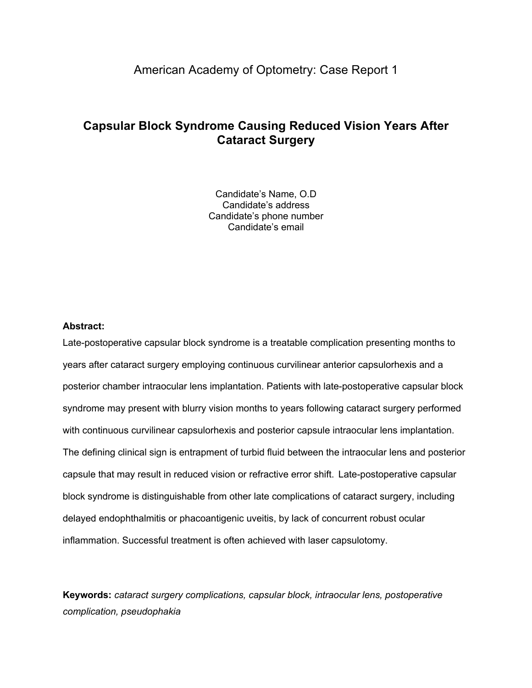# American Academy of Optometry: Case Report 1

# **Capsular Block Syndrome Causing Reduced Vision Years After Cataract Surgery**

Candidate's Name, O.D Candidate's address Candidate's phone number Candidate's email

## **Abstract:**

Late-postoperative capsular block syndrome is a treatable complication presenting months to years after cataract surgery employing continuous curvilinear anterior capsulorhexis and a posterior chamber intraocular lens implantation. Patients with late-postoperative capsular block syndrome may present with blurry vision months to years following cataract surgery performed with continuous curvilinear capsulorhexis and posterior capsule intraocular lens implantation. The defining clinical sign is entrapment of turbid fluid between the intraocular lens and posterior capsule that may result in reduced vision or refractive error shift. Late-postoperative capsular block syndrome is distinguishable from other late complications of cataract surgery, including delayed endophthalmitis or phacoantigenic uveitis, by lack of concurrent robust ocular inflammation. Successful treatment is often achieved with laser capsulotomy.

**Keywords:** *cataract surgery complications, capsular block, intraocular lens, postoperative complication, pseudophakia*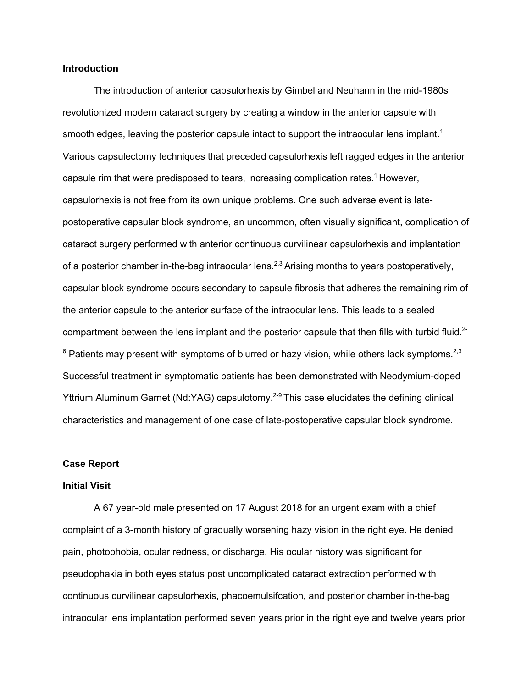#### **Introduction**

The introduction of anterior capsulorhexis by Gimbel and Neuhann in the mid-1980s revolutionized modern cataract surgery by creating a window in the anterior capsule with smooth edges, leaving the posterior capsule intact to support the intraocular lens implant.<sup>1</sup> Various capsulectomy techniques that preceded capsulorhexis left ragged edges in the anterior capsule rim that were predisposed to tears, increasing complication rates. 1 However, capsulorhexis is not free from its own unique problems. One such adverse event is latepostoperative capsular block syndrome, an uncommon, often visually significant, complication of cataract surgery performed with anterior continuous curvilinear capsulorhexis and implantation of a posterior chamber in-the-bag intraocular lens.<sup>2,3</sup> Arising months to years postoperatively, capsular block syndrome occurs secondary to capsule fibrosis that adheres the remaining rim of the anterior capsule to the anterior surface of the intraocular lens. This leads to a sealed compartment between the lens implant and the posterior capsule that then fills with turbid fluid.<sup>2-</sup>  $^6$  Patients may present with symptoms of blurred or hazy vision, while others lack symptoms.<sup>2,3</sup> Successful treatment in symptomatic patients has been demonstrated with Neodymium-doped Yttrium Aluminum Garnet (Nd:YAG) capsulotomy.<sup>2-9</sup> This case elucidates the defining clinical characteristics and management of one case of late-postoperative capsular block syndrome.

## **Case Report**

#### **Initial Visit**

A 67 year-old male presented on 17 August 2018 for an urgent exam with a chief complaint of a 3-month history of gradually worsening hazy vision in the right eye. He denied pain, photophobia, ocular redness, or discharge. His ocular history was significant for pseudophakia in both eyes status post uncomplicated cataract extraction performed with continuous curvilinear capsulorhexis, phacoemulsifcation, and posterior chamber in-the-bag intraocular lens implantation performed seven years prior in the right eye and twelve years prior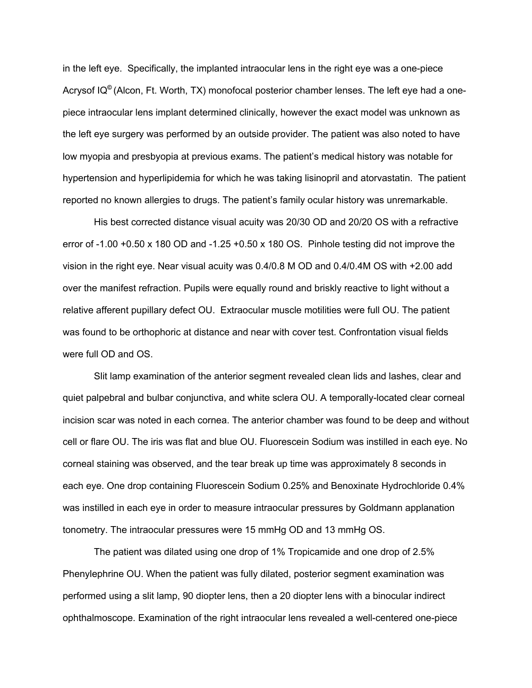in the left eye. Specifically, the implanted intraocular lens in the right eye was a one-piece Acrysof IQ**©** (Alcon, Ft. Worth, TX) monofocal posterior chamber lenses. The left eye had a onepiece intraocular lens implant determined clinically, however the exact model was unknown as the left eye surgery was performed by an outside provider. The patient was also noted to have low myopia and presbyopia at previous exams. The patient's medical history was notable for hypertension and hyperlipidemia for which he was taking lisinopril and atorvastatin. The patient reported no known allergies to drugs. The patient's family ocular history was unremarkable.

His best corrected distance visual acuity was 20/30 OD and 20/20 OS with a refractive error of  $-1.00 +0.50 \times 180$  OD and  $-1.25 +0.50 \times 180$  OS. Pinhole testing did not improve the vision in the right eye. Near visual acuity was 0.4/0.8 M OD and 0.4/0.4M OS with +2.00 add over the manifest refraction. Pupils were equally round and briskly reactive to light without a relative afferent pupillary defect OU. Extraocular muscle motilities were full OU. The patient was found to be orthophoric at distance and near with cover test. Confrontation visual fields were full OD and OS.

Slit lamp examination of the anterior segment revealed clean lids and lashes, clear and quiet palpebral and bulbar conjunctiva, and white sclera OU. A temporally-located clear corneal incision scar was noted in each cornea. The anterior chamber was found to be deep and without cell or flare OU. The iris was flat and blue OU. Fluorescein Sodium was instilled in each eye. No corneal staining was observed, and the tear break up time was approximately 8 seconds in each eye. One drop containing Fluorescein Sodium 0.25% and Benoxinate Hydrochloride 0.4% was instilled in each eye in order to measure intraocular pressures by Goldmann applanation tonometry. The intraocular pressures were 15 mmHg OD and 13 mmHg OS.

The patient was dilated using one drop of 1% Tropicamide and one drop of 2.5% Phenylephrine OU. When the patient was fully dilated, posterior segment examination was performed using a slit lamp, 90 diopter lens, then a 20 diopter lens with a binocular indirect ophthalmoscope. Examination of the right intraocular lens revealed a well-centered one-piece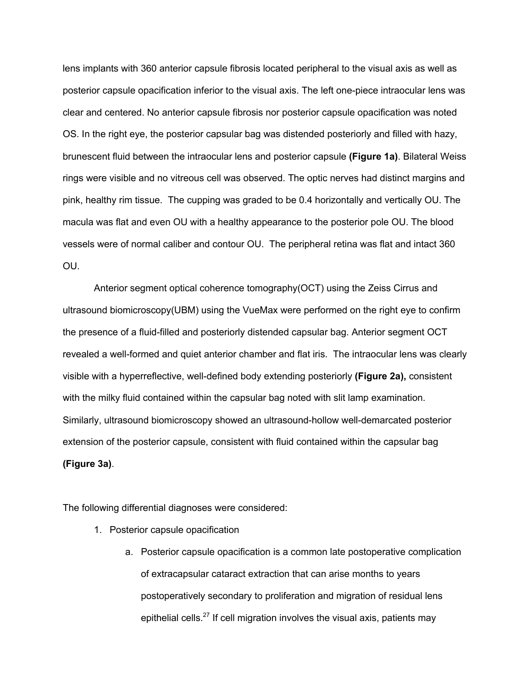lens implants with 360 anterior capsule fibrosis located peripheral to the visual axis as well as posterior capsule opacification inferior to the visual axis. The left one-piece intraocular lens was clear and centered. No anterior capsule fibrosis nor posterior capsule opacification was noted OS. In the right eye, the posterior capsular bag was distended posteriorly and filled with hazy, brunescent fluid between the intraocular lens and posterior capsule **(Figure 1a)**. Bilateral Weiss rings were visible and no vitreous cell was observed. The optic nerves had distinct margins and pink, healthy rim tissue. The cupping was graded to be 0.4 horizontally and vertically OU. The macula was flat and even OU with a healthy appearance to the posterior pole OU. The blood vessels were of normal caliber and contour OU. The peripheral retina was flat and intact 360 OU.

Anterior segment optical coherence tomography(OCT) using the Zeiss Cirrus and ultrasound biomicroscopy(UBM) using the VueMax were performed on the right eye to confirm the presence of a fluid-filled and posteriorly distended capsular bag. Anterior segment OCT revealed a well-formed and quiet anterior chamber and flat iris. The intraocular lens was clearly visible with a hyperreflective, well-defined body extending posteriorly **(Figure 2a),** consistent with the milky fluid contained within the capsular bag noted with slit lamp examination. Similarly, ultrasound biomicroscopy showed an ultrasound-hollow well-demarcated posterior extension of the posterior capsule, consistent with fluid contained within the capsular bag **(Figure 3a)**.

The following differential diagnoses were considered:

- 1. Posterior capsule opacification
	- a. Posterior capsule opacification is a common late postoperative complication of extracapsular cataract extraction that can arise months to years postoperatively secondary to proliferation and migration of residual lens epithelial cells.<sup>27</sup> If cell migration involves the visual axis, patients may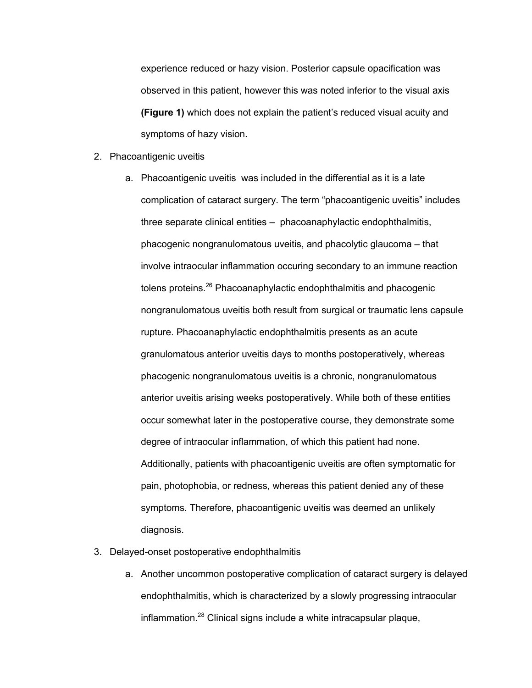experience reduced or hazy vision. Posterior capsule opacification was observed in this patient, however this was noted inferior to the visual axis **(Figure 1)** which does not explain the patient's reduced visual acuity and symptoms of hazy vision.

- 2. Phacoantigenic uveitis
	- a. Phacoantigenic uveitis was included in the differential as it is a late complication of cataract surgery. The term "phacoantigenic uveitis" includes three separate clinical entities – phacoanaphylactic endophthalmitis, phacogenic nongranulomatous uveitis, and phacolytic glaucoma – that involve intraocular inflammation occuring secondary to an immune reaction tolens proteins.<sup>26</sup> Phacoanaphylactic endophthalmitis and phacogenic nongranulomatous uveitis both result from surgical or traumatic lens capsule rupture. Phacoanaphylactic endophthalmitis presents as an acute granulomatous anterior uveitis days to months postoperatively, whereas phacogenic nongranulomatous uveitis is a chronic, nongranulomatous anterior uveitis arising weeks postoperatively. While both of these entities occur somewhat later in the postoperative course, they demonstrate some degree of intraocular inflammation, of which this patient had none. Additionally, patients with phacoantigenic uveitis are often symptomatic for pain, photophobia, or redness, whereas this patient denied any of these symptoms. Therefore, phacoantigenic uveitis was deemed an unlikely diagnosis.
- 3. Delayed-onset postoperative endophthalmitis
	- a. Another uncommon postoperative complication of cataract surgery is delayed endophthalmitis, which is characterized by a slowly progressing intraocular inflammation.<sup>28</sup> Clinical signs include a white intracapsular plaque,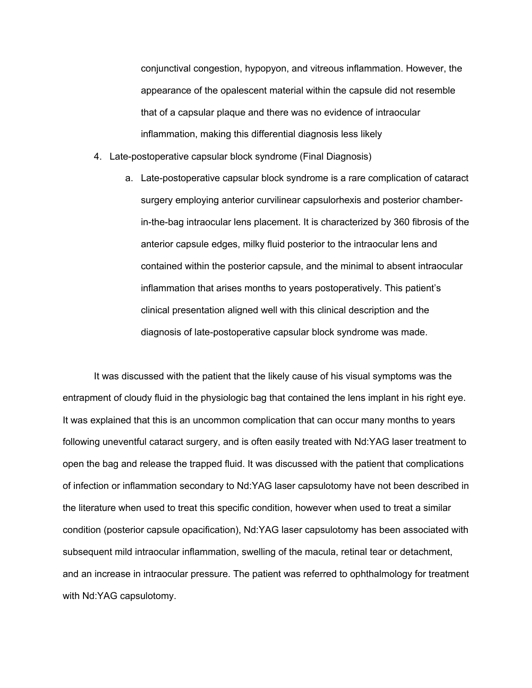conjunctival congestion, hypopyon, and vitreous inflammation. However, the appearance of the opalescent material within the capsule did not resemble that of a capsular plaque and there was no evidence of intraocular inflammation, making this differential diagnosis less likely

- 4. Late-postoperative capsular block syndrome (Final Diagnosis)
	- a. Late-postoperative capsular block syndrome is a rare complication of cataract surgery employing anterior curvilinear capsulorhexis and posterior chamberin-the-bag intraocular lens placement. It is characterized by 360 fibrosis of the anterior capsule edges, milky fluid posterior to the intraocular lens and contained within the posterior capsule, and the minimal to absent intraocular inflammation that arises months to years postoperatively. This patient's clinical presentation aligned well with this clinical description and the diagnosis of late-postoperative capsular block syndrome was made.

It was discussed with the patient that the likely cause of his visual symptoms was the entrapment of cloudy fluid in the physiologic bag that contained the lens implant in his right eye. It was explained that this is an uncommon complication that can occur many months to years following uneventful cataract surgery, and is often easily treated with Nd:YAG laser treatment to open the bag and release the trapped fluid. It was discussed with the patient that complications of infection or inflammation secondary to Nd:YAG laser capsulotomy have not been described in the literature when used to treat this specific condition, however when used to treat a similar condition (posterior capsule opacification), Nd:YAG laser capsulotomy has been associated with subsequent mild intraocular inflammation, swelling of the macula, retinal tear or detachment, and an increase in intraocular pressure. The patient was referred to ophthalmology for treatment with Nd:YAG capsulotomy.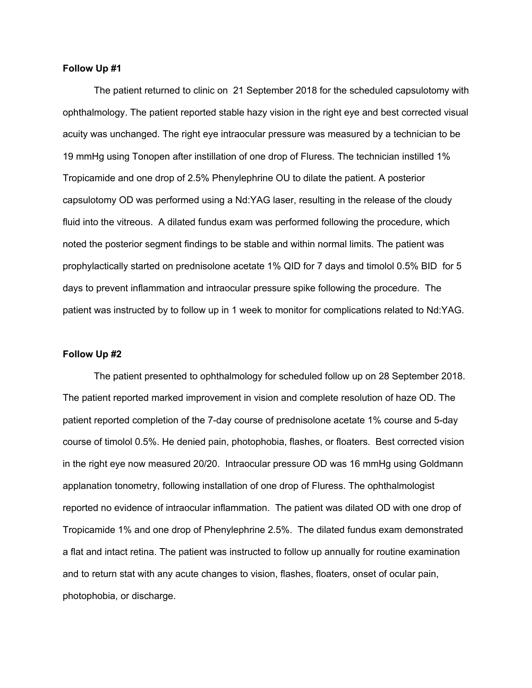#### **Follow Up #1**

The patient returned to clinic on 21 September 2018 for the scheduled capsulotomy with ophthalmology. The patient reported stable hazy vision in the right eye and best corrected visual acuity was unchanged. The right eye intraocular pressure was measured by a technician to be 19 mmHg using Tonopen after instillation of one drop of Fluress. The technician instilled 1% Tropicamide and one drop of 2.5% Phenylephrine OU to dilate the patient. A posterior capsulotomy OD was performed using a Nd:YAG laser, resulting in the release of the cloudy fluid into the vitreous. A dilated fundus exam was performed following the procedure, which noted the posterior segment findings to be stable and within normal limits. The patient was prophylactically started on prednisolone acetate 1% QID for 7 days and timolol 0.5% BID for 5 days to prevent inflammation and intraocular pressure spike following the procedure. The patient was instructed by to follow up in 1 week to monitor for complications related to Nd:YAG.

#### **Follow Up #2**

The patient presented to ophthalmology for scheduled follow up on 28 September 2018. The patient reported marked improvement in vision and complete resolution of haze OD. The patient reported completion of the 7-day course of prednisolone acetate 1% course and 5-day course of timolol 0.5%. He denied pain, photophobia, flashes, or floaters. Best corrected vision in the right eye now measured 20/20. Intraocular pressure OD was 16 mmHg using Goldmann applanation tonometry, following installation of one drop of Fluress. The ophthalmologist reported no evidence of intraocular inflammation. The patient was dilated OD with one drop of Tropicamide 1% and one drop of Phenylephrine 2.5%. The dilated fundus exam demonstrated a flat and intact retina. The patient was instructed to follow up annually for routine examination and to return stat with any acute changes to vision, flashes, floaters, onset of ocular pain, photophobia, or discharge.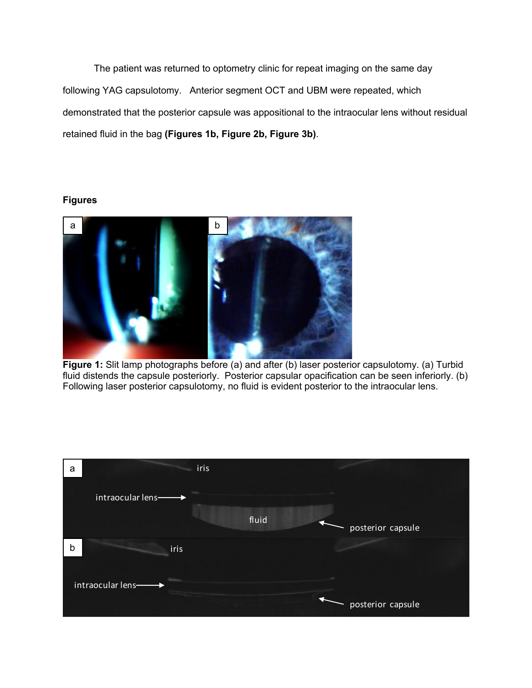The patient was returned to optometry clinic for repeat imaging on the same day following YAG capsulotomy. Anterior segment OCT and UBM were repeated, which demonstrated that the posterior capsule was appositional to the intraocular lens without residual retained fluid in the bag **(Figures 1b, Figure 2b, Figure 3b)**.

### **Figures**



**Figure 1:** Slit lamp photographs before (a) and after (b) laser posterior capsulotomy. (a) Turbid fluid distends the capsule posteriorly. Posterior capsular opacification can be seen inferiorly. (b) Following laser posterior capsulotomy, no fluid is evident posterior to the intraocular lens.

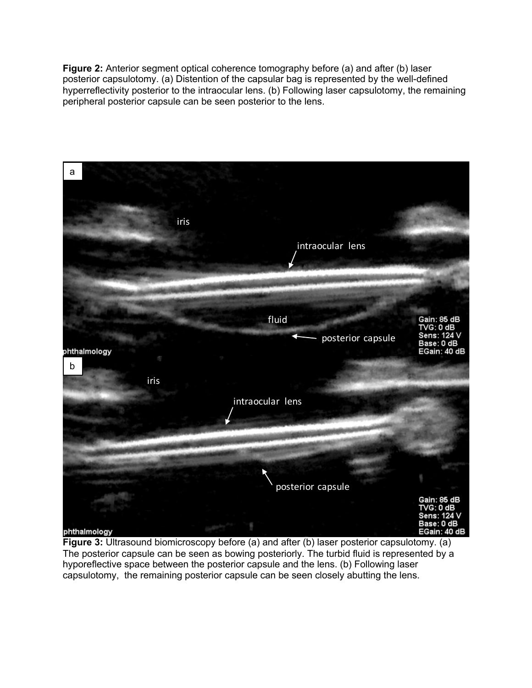**Figure 2:** Anterior segment optical coherence tomography before (a) and after (b) laser posterior capsulotomy. (a) Distention of the capsular bag is represented by the well-defined hyperreflectivity posterior to the intraocular lens. (b) Following laser capsulotomy, the remaining peripheral posterior capsule can be seen posterior to the lens.



**Figure 3:** Ultrasound biomicroscopy before (a) and after (b) laser posterior capsulotomy. (a) The posterior capsule can be seen as bowing posteriorly. The turbid fluid is represented by a hyporeflective space between the posterior capsule and the lens. (b) Following laser capsulotomy, the remaining posterior capsule can be seen closely abutting the lens.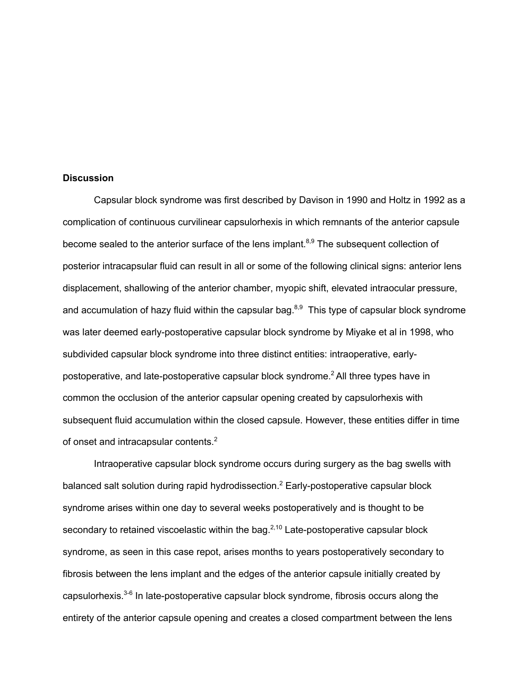#### **Discussion**

Capsular block syndrome was first described by Davison in 1990 and Holtz in 1992 as a complication of continuous curvilinear capsulorhexis in which remnants of the anterior capsule become sealed to the anterior surface of the lens implant.<sup>8,9</sup> The subsequent collection of posterior intracapsular fluid can result in all or some of the following clinical signs: anterior lens displacement, shallowing of the anterior chamber, myopic shift, elevated intraocular pressure, and accumulation of hazy fluid within the capsular bag. $8,9$  This type of capsular block syndrome was later deemed early-postoperative capsular block syndrome by Miyake et al in 1998, who subdivided capsular block syndrome into three distinct entities: intraoperative, earlypostoperative, and late-postoperative capsular block syndrome. 2 All three types have in common the occlusion of the anterior capsular opening created by capsulorhexis with subsequent fluid accumulation within the closed capsule. However, these entities differ in time of onset and intracapsular contents.<sup>2</sup>

Intraoperative capsular block syndrome occurs during surgery as the bag swells with balanced salt solution during rapid hydrodissection.<sup>2</sup> Early-postoperative capsular block syndrome arises within one day to several weeks postoperatively and is thought to be secondary to retained viscoelastic within the bag. $2,10$  Late-postoperative capsular block syndrome, as seen in this case repot, arises months to years postoperatively secondary to fibrosis between the lens implant and the edges of the anterior capsule initially created by capsulorhexis. $3-6$  In late-postoperative capsular block syndrome, fibrosis occurs along the entirety of the anterior capsule opening and creates a closed compartment between the lens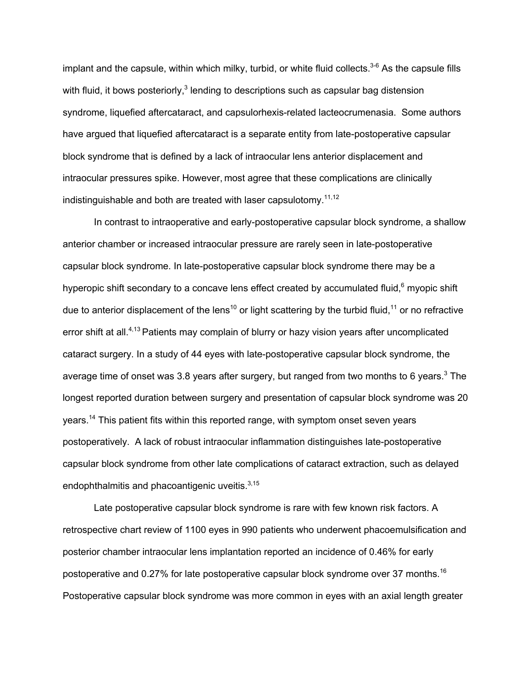implant and the capsule, within which milky, turbid, or white fluid collects.<sup>3-6</sup> As the capsule fills with fluid, it bows posteriorly, $3$  lending to descriptions such as capsular bag distension syndrome, liquefied aftercataract, and capsulorhexis-related lacteocrumenasia. Some authors have argued that liquefied aftercataract is a separate entity from late-postoperative capsular block syndrome that is defined by a lack of intraocular lens anterior displacement and intraocular pressures spike. However, most agree that these complications are clinically indistinguishable and both are treated with laser capsulotomy.<sup>11,12</sup>

In contrast to intraoperative and early-postoperative capsular block syndrome, a shallow anterior chamber or increased intraocular pressure are rarely seen in late-postoperative capsular block syndrome. In late-postoperative capsular block syndrome there may be a hyperopic shift secondary to a concave lens effect created by accumulated fluid,<sup>6</sup> myopic shift due to anterior displacement of the lens<sup>10</sup> or light scattering by the turbid fluid,<sup>11</sup> or no refractive error shift at all.<sup>4,13</sup> Patients may complain of blurry or hazy vision years after uncomplicated cataract surgery. In a study of 44 eyes with late-postoperative capsular block syndrome, the average time of onset was 3.8 years after surgery, but ranged from two months to 6 years.<sup>3</sup> The longest reported duration between surgery and presentation of capsular block syndrome was 20 years.<sup>14</sup> This patient fits within this reported range, with symptom onset seven years postoperatively. A lack of robust intraocular inflammation distinguishes late-postoperative capsular block syndrome from other late complications of cataract extraction, such as delayed endophthalmitis and phacoantigenic uveitis.<sup>3,15</sup>

Late postoperative capsular block syndrome is rare with few known risk factors. A retrospective chart review of 1100 eyes in 990 patients who underwent phacoemulsification and posterior chamber intraocular lens implantation reported an incidence of 0.46% for early postoperative and 0.27% for late postoperative capsular block syndrome over 37 months.<sup>16</sup> Postoperative capsular block syndrome was more common in eyes with an axial length greater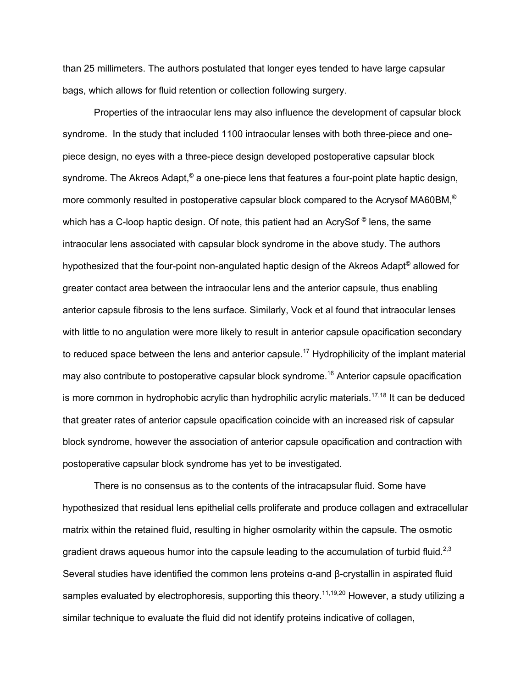than 25 millimeters. The authors postulated that longer eyes tended to have large capsular bags, which allows for fluid retention or collection following surgery.

Properties of the intraocular lens may also influence the development of capsular block syndrome. In the study that included 1100 intraocular lenses with both three-piece and onepiece design, no eyes with a three-piece design developed postoperative capsular block syndrome. The Akreos Adapt,**©** a one-piece lens that features a four-point plate haptic design, more commonly resulted in postoperative capsular block compared to the Acrysof MA60BM, **©** which has a C-loop haptic design. Of note, this patient had an AcrySof **©** lens, the same intraocular lens associated with capsular block syndrome in the above study. The authors hypothesized that the four-point non-angulated haptic design of the Akreos Adapt**©** allowed for greater contact area between the intraocular lens and the anterior capsule, thus enabling anterior capsule fibrosis to the lens surface. Similarly, Vock et al found that intraocular lenses with little to no angulation were more likely to result in anterior capsule opacification secondary to reduced space between the lens and anterior capsule.<sup>17</sup> Hydrophilicity of the implant material may also contribute to postoperative capsular block syndrome.<sup>16</sup> Anterior capsule opacification is more common in hydrophobic acrylic than hydrophilic acrylic materials.<sup>17,18</sup> It can be deduced that greater rates of anterior capsule opacification coincide with an increased risk of capsular block syndrome, however the association of anterior capsule opacification and contraction with postoperative capsular block syndrome has yet to be investigated.

There is no consensus as to the contents of the intracapsular fluid. Some have hypothesized that residual lens epithelial cells proliferate and produce collagen and extracellular matrix within the retained fluid, resulting in higher osmolarity within the capsule. The osmotic gradient draws aqueous humor into the capsule leading to the accumulation of turbid fluid.<sup>2,3</sup> Several studies have identified the common lens proteins α-and β-crystallin in aspirated fluid samples evaluated by electrophoresis, supporting this theory.<sup>11,19,20</sup> However, a study utilizing a similar technique to evaluate the fluid did not identify proteins indicative of collagen,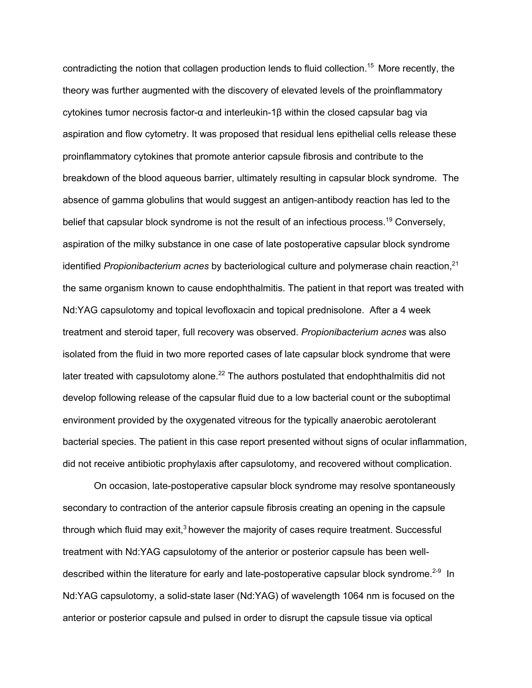contradicting the notion that collagen production lends to fluid collection.15 More recently, the theory was further augmented with the discovery of elevated levels of the proinflammatory cytokines tumor necrosis factor-α and interleukin-1β within the closed capsular bag via aspiration and flow cytometry. It was proposed that residual lens epithelial cells release these proinflammatory cytokines that promote anterior capsule fibrosis and contribute to the breakdown of the blood aqueous barrier, ultimately resulting in capsular block syndrome. The absence of gamma globulins that would suggest an antigen-antibody reaction has led to the belief that capsular block syndrome is not the result of an infectious process.<sup>19</sup> Conversely, aspiration of the milky substance in one case of late postoperative capsular block syndrome identified *Propionibacterium acnes* by bacteriological culture and polymerase chain reaction, 21 the same organism known to cause endophthalmitis. The patient in that report was treated with Nd:YAG capsulotomy and topical levofloxacin and topical prednisolone. After a 4 week treatment and steroid taper, full recovery was observed. *Propionibacterium acnes* was also isolated from the fluid in two more reported cases of late capsular block syndrome that were later treated with capsulotomy alone. $^{22}$  The authors postulated that endophthalmitis did not develop following release of the capsular fluid due to a low bacterial count or the suboptimal environment provided by the oxygenated vitreous for the typically anaerobic aerotolerant bacterial species. The patient in this case report presented without signs of ocular inflammation, did not receive antibiotic prophylaxis after capsulotomy, and recovered without complication.

On occasion, late-postoperative capsular block syndrome may resolve spontaneously secondary to contraction of the anterior capsule fibrosis creating an opening in the capsule through which fluid may exit, $3$  however the majority of cases require treatment. Successful treatment with Nd:YAG capsulotomy of the anterior or posterior capsule has been welldescribed within the literature for early and late-postoperative capsular block syndrome.<sup>2-9</sup> In Nd:YAG capsulotomy, a solid-state laser (Nd:YAG) of wavelength 1064 nm is focused on the anterior or posterior capsule and pulsed in order to disrupt the capsule tissue via optical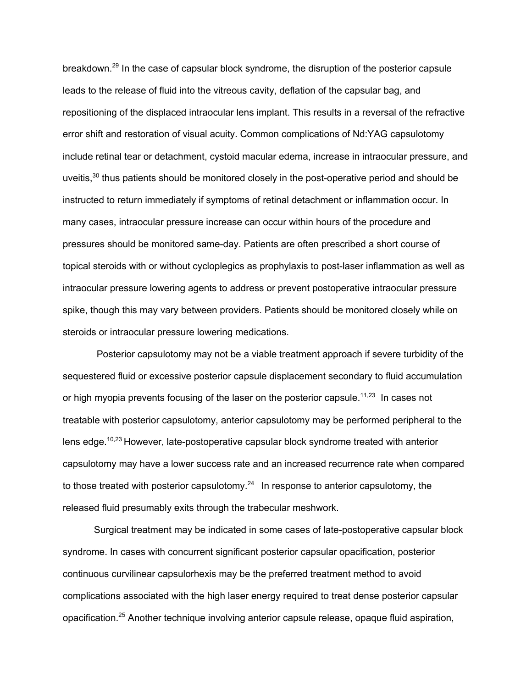breakdown.29 In the case of capsular block syndrome, the disruption of the posterior capsule leads to the release of fluid into the vitreous cavity, deflation of the capsular bag, and repositioning of the displaced intraocular lens implant. This results in a reversal of the refractive error shift and restoration of visual acuity. Common complications of Nd:YAG capsulotomy include retinal tear or detachment, cystoid macular edema, increase in intraocular pressure, and uveitis, $30$  thus patients should be monitored closely in the post-operative period and should be instructed to return immediately if symptoms of retinal detachment or inflammation occur. In many cases, intraocular pressure increase can occur within hours of the procedure and pressures should be monitored same-day. Patients are often prescribed a short course of topical steroids with or without cycloplegics as prophylaxis to post-laser inflammation as well as intraocular pressure lowering agents to address or prevent postoperative intraocular pressure spike, though this may vary between providers. Patients should be monitored closely while on steroids or intraocular pressure lowering medications.

Posterior capsulotomy may not be a viable treatment approach if severe turbidity of the sequestered fluid or excessive posterior capsule displacement secondary to fluid accumulation or high myopia prevents focusing of the laser on the posterior capsule.<sup>11,23</sup> In cases not treatable with posterior capsulotomy, anterior capsulotomy may be performed peripheral to the lens edge.<sup>10,23</sup> However, late-postoperative capsular block syndrome treated with anterior capsulotomy may have a lower success rate and an increased recurrence rate when compared to those treated with posterior capsulotomy.<sup>24</sup> In response to anterior capsulotomy, the released fluid presumably exits through the trabecular meshwork.

Surgical treatment may be indicated in some cases of late-postoperative capsular block syndrome. In cases with concurrent significant posterior capsular opacification, posterior continuous curvilinear capsulorhexis may be the preferred treatment method to avoid complications associated with the high laser energy required to treat dense posterior capsular opacification.<sup>25</sup> Another technique involving anterior capsule release, opaque fluid aspiration,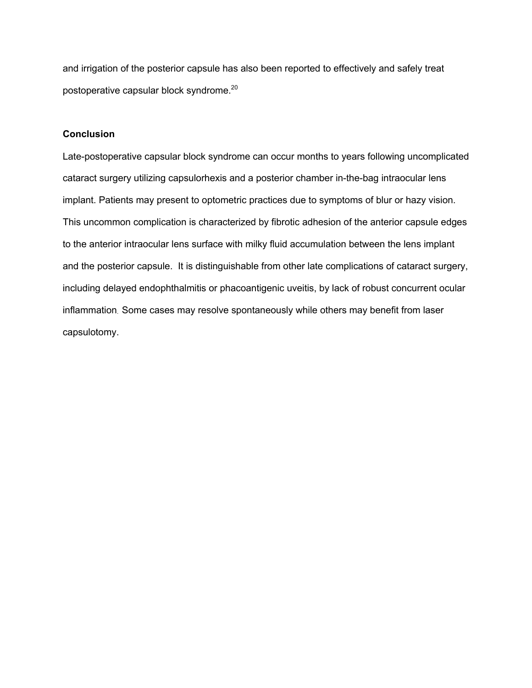and irrigation of the posterior capsule has also been reported to effectively and safely treat postoperative capsular block syndrome. 20

# **Conclusion**

Late-postoperative capsular block syndrome can occur months to years following uncomplicated cataract surgery utilizing capsulorhexis and a posterior chamber in-the-bag intraocular lens implant. Patients may present to optometric practices due to symptoms of blur or hazy vision. This uncommon complication is characterized by fibrotic adhesion of the anterior capsule edges to the anterior intraocular lens surface with milky fluid accumulation between the lens implant and the posterior capsule. It is distinguishable from other late complications of cataract surgery, including delayed endophthalmitis or phacoantigenic uveitis, by lack of robust concurrent ocular inflammation. Some cases may resolve spontaneously while others may benefit from laser capsulotomy.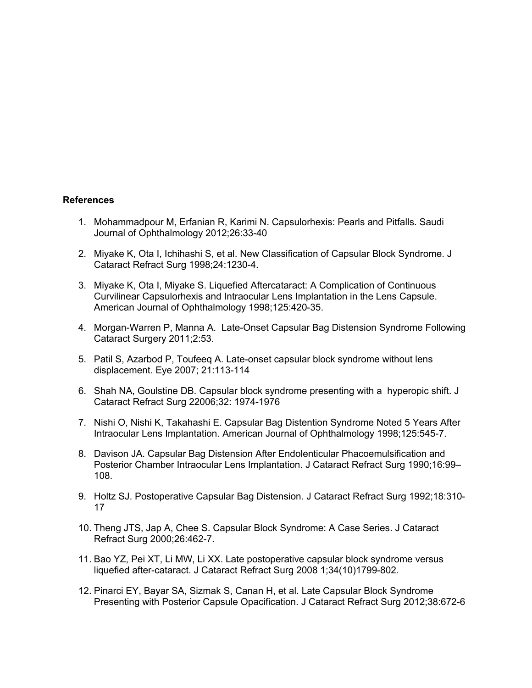#### **References**

- 1. Mohammadpour M, Erfanian R, Karimi N. Capsulorhexis: Pearls and Pitfalls. Saudi Journal of Ophthalmology 2012;26:33-40
- 2. Miyake K, Ota I, Ichihashi S, et al. New Classification of Capsular Block Syndrome. J Cataract Refract Surg 1998;24:1230-4.
- 3. Miyake K, Ota I, Miyake S. Liquefied Aftercataract: A Complication of Continuous Curvilinear Capsulorhexis and Intraocular Lens Implantation in the Lens Capsule. American Journal of Ophthalmology 1998;125:420-35.
- 4. Morgan-Warren P, Manna A. Late-Onset Capsular Bag Distension Syndrome Following Cataract Surgery 2011;2:53.
- 5. Patil S, Azarbod P, Toufeeq A. Late-onset capsular block syndrome without lens displacement. Eye 2007; 21:113-114
- 6. Shah NA, Goulstine DB. Capsular block syndrome presenting with a hyperopic shift. J Cataract Refract Surg 22006;32: 1974-1976
- 7. Nishi O, Nishi K, Takahashi E. Capsular Bag Distention Syndrome Noted 5 Years After Intraocular Lens Implantation. American Journal of Ophthalmology 1998;125:545-7.
- 8. Davison JA. Capsular Bag Distension After Endolenticular Phacoemulsification and Posterior Chamber Intraocular Lens Implantation. J Cataract Refract Surg 1990;16:99– 108.
- 9. Holtz SJ. Postoperative Capsular Bag Distension. J Cataract Refract Surg 1992;18:310- 17
- 10. Theng JTS, Jap A, Chee S. Capsular Block Syndrome: A Case Series. J Cataract Refract Surg 2000;26:462-7.
- 11. Bao YZ, Pei XT, Li MW, Li XX. Late postoperative capsular block syndrome versus liquefied after-cataract. J Cataract Refract Surg 2008 1;34(10)1799-802.
- 12. Pinarci EY, Bayar SA, Sizmak S, Canan H, et al. Late Capsular Block Syndrome Presenting with Posterior Capsule Opacification. J Cataract Refract Surg 2012;38:672-6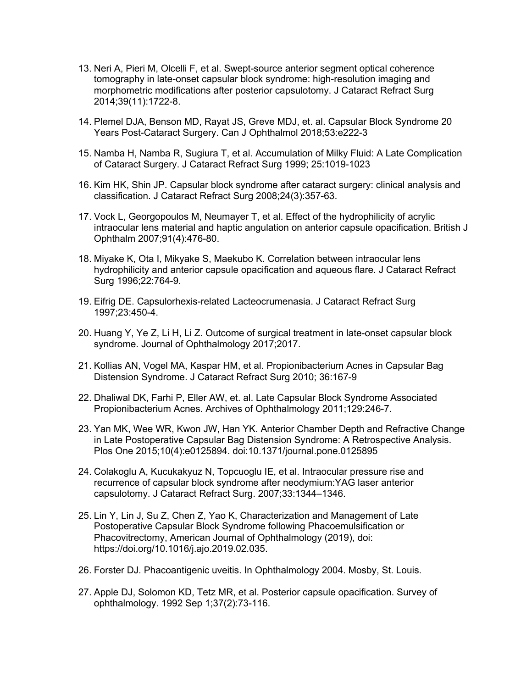- 13. Neri A, Pieri M, Olcelli F, et al. Swept-source anterior segment optical coherence tomography in late-onset capsular block syndrome: high-resolution imaging and morphometric modifications after posterior capsulotomy. J Cataract Refract Surg 2014;39(11):1722-8.
- 14. Plemel DJA, Benson MD, Rayat JS, Greve MDJ, et. al. Capsular Block Syndrome 20 Years Post-Cataract Surgery. Can J Ophthalmol 2018;53:e222-3
- 15. Namba H, Namba R, Sugiura T, et al. Accumulation of Milky Fluid: A Late Complication of Cataract Surgery. J Cataract Refract Surg 1999; 25:1019-1023
- 16. Kim HK, Shin JP. Capsular block syndrome after cataract surgery: clinical analysis and classification. J Cataract Refract Surg 2008;24(3):357-63.
- 17. Vock L, Georgopoulos M, Neumayer T, et al. Effect of the hydrophilicity of acrylic intraocular lens material and haptic angulation on anterior capsule opacification. British J Ophthalm 2007;91(4):476-80.
- 18. Miyake K, Ota I, Mikyake S, Maekubo K. Correlation between intraocular lens hydrophilicity and anterior capsule opacification and aqueous flare. J Cataract Refract Surg 1996;22:764-9.
- 19. Eifrig DE. Capsulorhexis-related Lacteocrumenasia. J Cataract Refract Surg 1997;23:450-4.
- 20. Huang Y, Ye Z, Li H, Li Z. Outcome of surgical treatment in late-onset capsular block syndrome. Journal of Ophthalmology 2017;2017.
- 21. Kollias AN, Vogel MA, Kaspar HM, et al. Propionibacterium Acnes in Capsular Bag Distension Syndrome. J Cataract Refract Surg 2010; 36:167-9
- 22. Dhaliwal DK, Farhi P, Eller AW, et. al. Late Capsular Block Syndrome Associated Propionibacterium Acnes. Archives of Ophthalmology 2011;129:246-7.
- 23. Yan MK, Wee WR, Kwon JW, Han YK. Anterior Chamber Depth and Refractive Change in Late Postoperative Capsular Bag Distension Syndrome: A Retrospective Analysis. Plos One 2015;10(4):e0125894. doi:10.1371/journal.pone.0125895
- 24. Colakoglu A, Kucukakyuz N, Topcuoglu IE, et al. Intraocular pressure rise and recurrence of capsular block syndrome after neodymium:YAG laser anterior capsulotomy. J Cataract Refract Surg. 2007;33:1344–1346.
- 25. Lin Y, Lin J, Su Z, Chen Z, Yao K, Characterization and Management of Late Postoperative Capsular Block Syndrome following Phacoemulsification or Phacovitrectomy, American Journal of Ophthalmology (2019), doi: https://doi.org/10.1016/j.ajo.2019.02.035.
- 26. Forster DJ. Phacoantigenic uveitis. In Ophthalmology 2004. Mosby, St. Louis.
- 27. Apple DJ, Solomon KD, Tetz MR, et al. Posterior capsule opacification. Survey of ophthalmology. 1992 Sep 1;37(2):73-116.